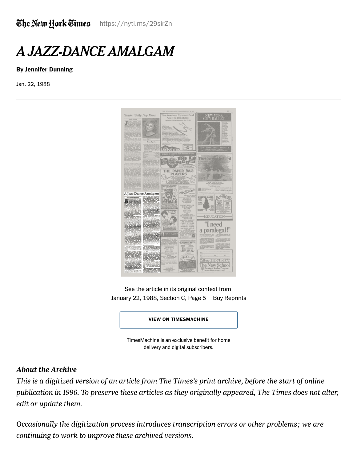## A JAZZ-DANCE AMALGAM

## By Jennifer [Dunning](https://topics.nytimes.com/top/reference/timestopics/people/d/jennifer_dunning/index.html)

Jan. 22, 1988



See the article in its original context from January 22, 1988, Section C, Page 5 [Buy Reprints](https://store.nytimes.com/collections/new-york-times-page-reprints?utm_source=nytimes&utm_medium=article-page&utm_campaign=reprints)

## VIEW ON [TIMESMACHINE](http://timesmachine.nytimes.com/timesmachine/1988/01/22/779788.html)

TimesMachine is an exclusive benefit for home delivery and digital subscribers.

## About the Archive

*This is a digitized version of an article from The Times's print archive, before the start of online publication in 1996. To preserve these articles as they originally appeared, The Times does not alter, edit or update them.*

*Occasionally the digitization process introduces transcription errors or other problems; we are continuing to work to improve these archived versions.*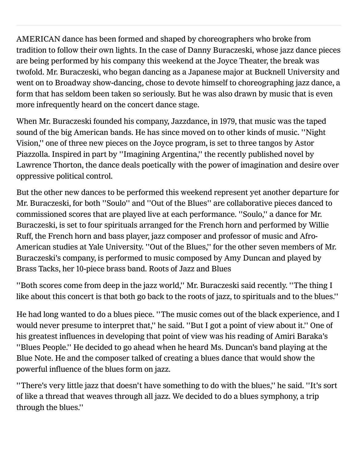AMERICAN dance has been formed and shaped by choreographers who broke from tradition to follow their own lights. In the case of Danny Buraczeski, whose jazz dance pieces are being performed by his company this weekend at the Joyce Theater, the break was twofold. Mr. Buraczeski, who began dancing as a Japanese major at Bucknell University and went on to Broadway show-dancing, chose to devote himself to choreographing jazz dance, a form that has seldom been taken so seriously. But he was also drawn by music that is even more infrequently heard on the concert dance stage.

When Mr. Buraczeski founded his company, Jazzdance, in 1979, that music was the taped sound of the big American bands. He has since moved on to other kinds of music. ''Night Vision,'' one of three new pieces on the Joyce program, is set to three tangos by Astor Piazzolla. Inspired in part by ''Imagining Argentina,'' the recently published novel by Lawrence Thorton, the dance deals poetically with the power of imagination and desire over oppressive political control.

But the other new dances to be performed this weekend represent yet another departure for Mr. Buraczeski, for both ''Soulo'' and ''Out of the Blues'' are collaborative pieces danced to commissioned scores that are played live at each performance. ''Soulo,'' a dance for Mr. Buraczeski, is set to four spirituals arranged for the French horn and performed by Willie Ruff, the French horn and bass player, jazz composer and professor of music and Afro-American studies at Yale University. ''Out of the Blues,'' for the other seven members of Mr. Buraczeski's company, is performed to music composed by Amy Duncan and played by Brass Tacks, her 10-piece brass band. Roots of Jazz and Blues

''Both scores come from deep in the jazz world,'' Mr. Buraczeski said recently. ''The thing I like about this concert is that both go back to the roots of jazz, to spirituals and to the blues.''

He had long wanted to do a blues piece. ''The music comes out of the black experience, and I would never presume to interpret that,'' he said. ''But I got a point of view about it.'' One of his greatest influences in developing that point of view was his reading of Amiri Baraka's ''Blues People.'' He decided to go ahead when he heard Ms. Duncan's band playing at the Blue Note. He and the composer talked of creating a blues dance that would show the powerful influence of the blues form on jazz.

''There's very little jazz that doesn't have something to do with the blues,'' he said. ''It's sort of like a thread that weaves through all jazz. We decided to do a blues symphony, a trip through the blues.''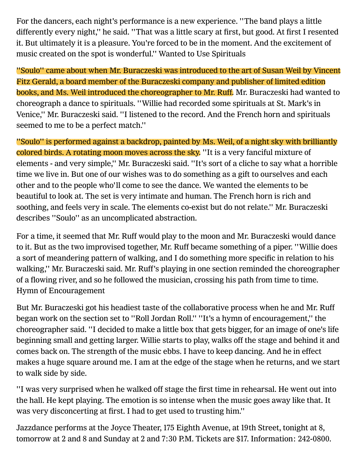For the dancers, each night's performance is a new experience. ''The band plays a little differently every night,'' he said. ''That was a little scary at first, but good. At first I resented it. But ultimately it is a pleasure. You're forced to be in the moment. And the excitement of music created on the spot is wonderful.'' Wanted to Use Spirituals

''Soulo'' came about when Mr. Buraczeski was introduced to the art of Susan Weil by Vincent Fitz Gerald, a board member of the Buraczeski company and publisher of limited edition books, and Ms. Weil introduced the choreographer to Mr. Ruff. Mr. Buraczeski had wanted to choreograph a dance to spirituals. ''Willie had recorded some spirituals at St. Mark's in Venice,'' Mr. Buraczeski said. ''I listened to the record. And the French horn and spirituals seemed to me to be a perfect match.''

''Soulo'' is performed against a backdrop, painted by Ms. Weil, of a night sky with brilliantly colored birds. A rotating moon moves across the sky. "It is a very fanciful mixture of elements - and very simple,'' Mr. Buraczeski said. ''It's sort of a cliche to say what a horrible time we live in. But one of our wishes was to do something as a gift to ourselves and each other and to the people who'll come to see the dance. We wanted the elements to be beautiful to look at. The set is very intimate and human. The French horn is rich and soothing, and feels very in scale. The elements co-exist but do not relate.'' Mr. Buraczeski describes ''Soulo'' as an uncomplicated abstraction.

For a time, it seemed that Mr. Ruff would play to the moon and Mr. Buraczeski would dance to it. But as the two improvised together, Mr. Ruff became something of a piper. ''Willie does a sort of meandering pattern of walking, and I do something more specific in relation to his walking,'' Mr. Buraczeski said. Mr. Ruff's playing in one section reminded the choreographer of a flowing river, and so he followed the musician, crossing his path from time to time. Hymn of Encouragement

But Mr. Buraczeski got his headiest taste of the collaborative process when he and Mr. Ruff began work on the section set to ''Roll Jordan Roll.'' ''It's a hymn of encouragement,'' the choreographer said. ''I decided to make a little box that gets bigger, for an image of one's life beginning small and getting larger. Willie starts to play, walks off the stage and behind it and comes back on. The strength of the music ebbs. I have to keep dancing. And he in effect makes a huge square around me. I am at the edge of the stage when he returns, and we start to walk side by side.

''I was very surprised when he walked off stage the first time in rehearsal. He went out into the hall. He kept playing. The emotion is so intense when the music goes away like that. It was very disconcerting at first. I had to get used to trusting him.''

Jazzdance performs at the Joyce Theater, 175 Eighth Avenue, at 19th Street, tonight at 8, tomorrow at 2 and 8 and Sunday at 2 and 7:30 P.M. Tickets are \$17. Information: 242-0800.